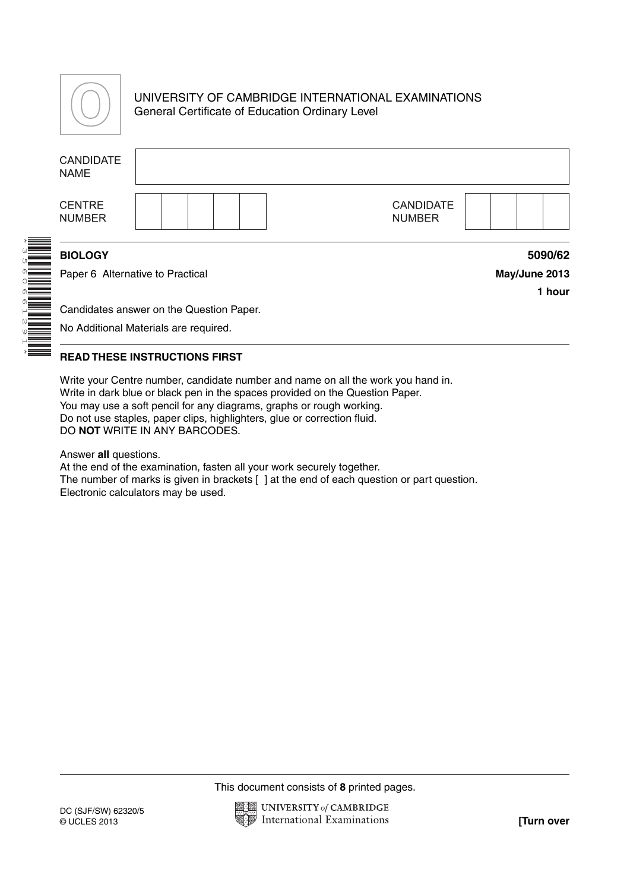

# UNIVERSITY OF CAMBRIDGE INTERNATIONAL EXAMINATIONS General Certificate of Education Ordinary Level

| <b>CANDIDATE</b><br><b>NAME</b>                                                   |  |  |  |                                   |  |                                    |
|-----------------------------------------------------------------------------------|--|--|--|-----------------------------------|--|------------------------------------|
| <b>CENTRE</b><br><b>NUMBER</b>                                                    |  |  |  | <b>CANDIDATE</b><br><b>NUMBER</b> |  |                                    |
| <b>BIOLOGY</b><br>Paper 6 Alternative to Practical                                |  |  |  |                                   |  | 5090/62<br>May/June 2013<br>1 hour |
| Candidates answer on the Question Paper.<br>No Additional Materials are required. |  |  |  |                                   |  |                                    |

## **READ THESE INSTRUCTIONS FIRST**

Write your Centre number, candidate number and name on all the work you hand in. Write in dark blue or black pen in the spaces provided on the Question Paper. You may use a soft pencil for any diagrams, graphs or rough working. Do not use staples, paper clips, highlighters, glue or correction fluid. DO **NOT** WRITE IN ANY BARCODES.

Answer **all** questions.

At the end of the examination, fasten all your work securely together. The number of marks is given in brackets [ ] at the end of each question or part question. Electronic calculators may be used.

This document consists of **8** printed pages.

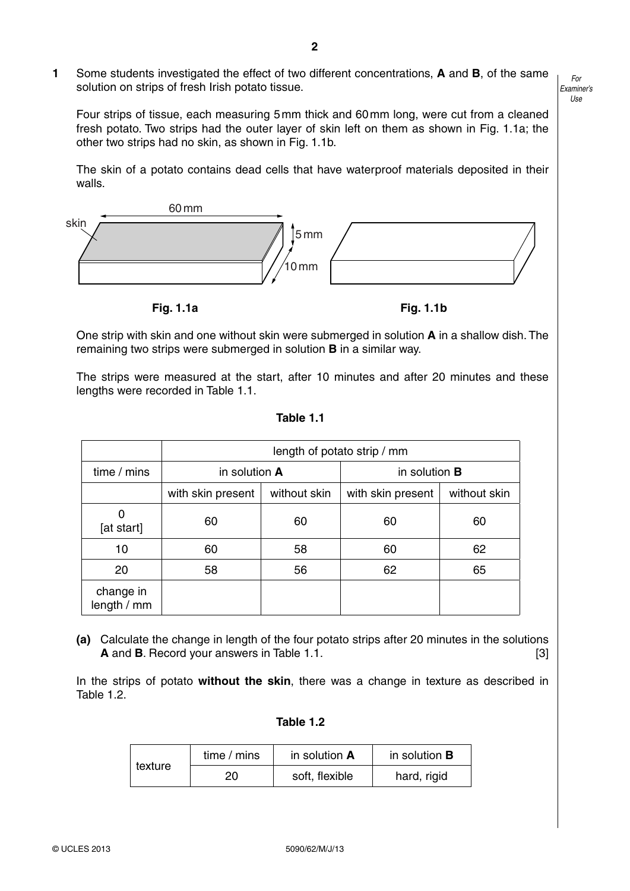**1** Some students investigated the effect of two different concentrations, **A** and **B**, of the same solution on strips of fresh Irish potato tissue.

*For Examiner's Use*

Four strips of tissue, each measuring 5 mm thick and 60 mm long, were cut from a cleaned fresh potato. Two strips had the outer layer of skin left on them as shown in Fig. 1.1a; the other two strips had no skin, as shown in Fig. 1.1b.

The skin of a potato contains dead cells that have waterproof materials deposited in their walls.



**Fig. 1.1a Fig. 1.1b** 

One strip with skin and one without skin were submerged in solution **A** in a shallow dish. The remaining two strips were submerged in solution **B** in a similar way.

The strips were measured at the start, after 10 minutes and after 20 minutes and these lengths were recorded in Table 1.1.

|                          | length of potato strip / mm |              |                   |              |  |
|--------------------------|-----------------------------|--------------|-------------------|--------------|--|
| time / mins              | in solution A               |              | in solution $B$   |              |  |
|                          | with skin present           | without skin | with skin present | without skin |  |
| [at start]               | 60                          | 60           | 60                | 60           |  |
| 10                       | 60                          | 58           | 60                | 62           |  |
| 20                       | 58                          | 56           | 62                | 65           |  |
| change in<br>length / mm |                             |              |                   |              |  |

**Table 1.1**

 **(a)** Calculate the change in length of the four potato strips after 20 minutes in the solutions **A** and **B**. Record your answers in Table 1.1. [3]

In the strips of potato **without the skin**, there was a change in texture as described in Table 1.2.

#### **Table 1.2**

| texture | time / mins | in solution A  | in solution <b>B</b> |  |
|---------|-------------|----------------|----------------------|--|
|         | 20          | soft, flexible | hard, rigid          |  |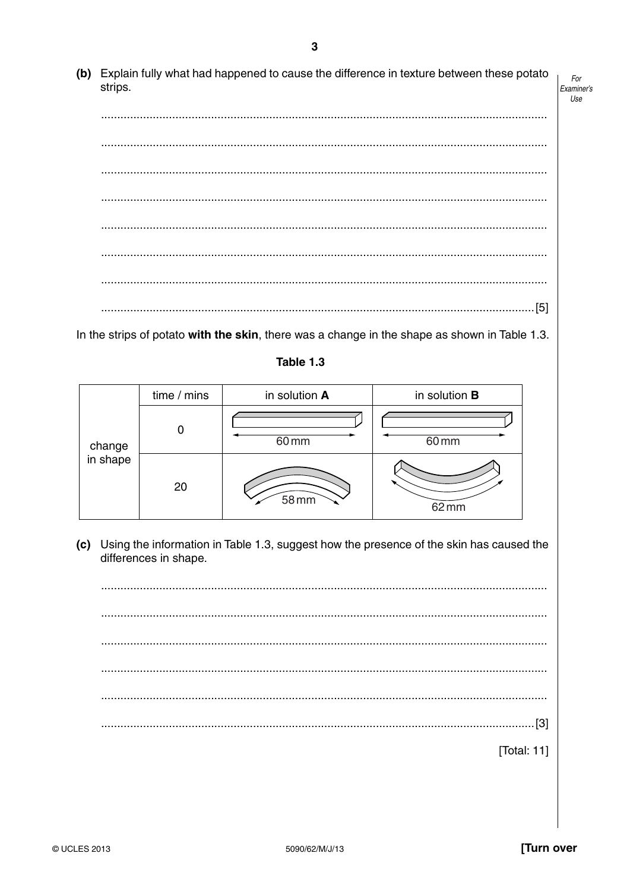(b) Explain fully what had happened to cause the difference in texture between these potato strips. Examiner's

In the strips of potato with the skin, there was a change in the shape as shown in Table 1.3.

## Table 1.3

|                    | time / mins | in solution A | in solution <b>B</b> |
|--------------------|-------------|---------------|----------------------|
| change<br>in shape | O           | 60 mm         | 60 mm                |
|                    | 20          | 58 mm         | $62 \, \text{mm}$    |

(c) Using the information in Table 1.3, suggest how the presence of the skin has caused the differences in shape.

[Total: 11] For

Use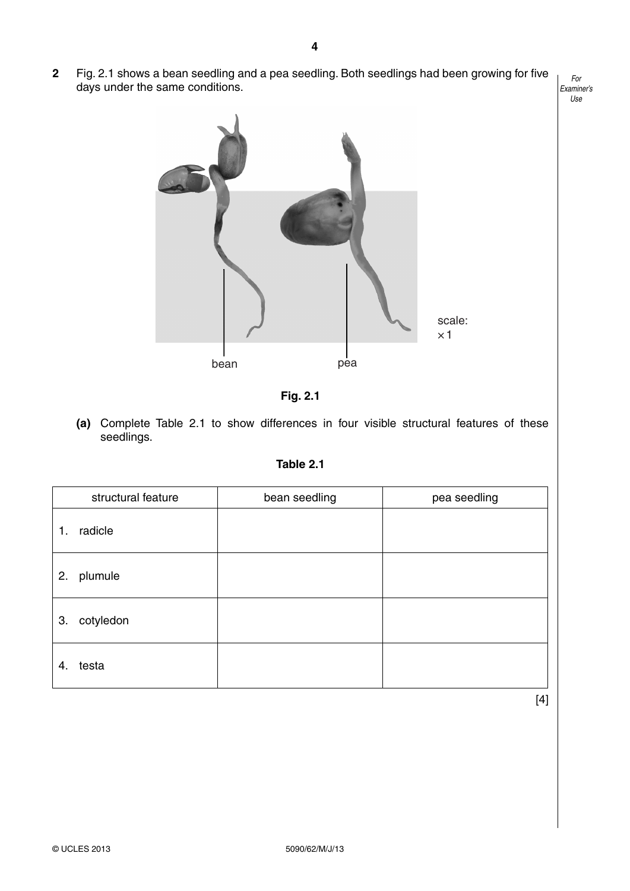**2** Fig. 2.1 shows a bean seedling and a pea seedling. Both seedlings had been growing for five days under the same conditions.







 **(a)** Complete Table 2.1 to show differences in four visible structural features of these seedlings.

| iable |
|-------|
|-------|

|    | structural feature | bean seedling | pea seedling |
|----|--------------------|---------------|--------------|
| 1. | radicle            |               |              |
| 2. | plumule            |               |              |
| 3. | cotyledon          |               |              |
| 4. | testa              |               |              |

[4]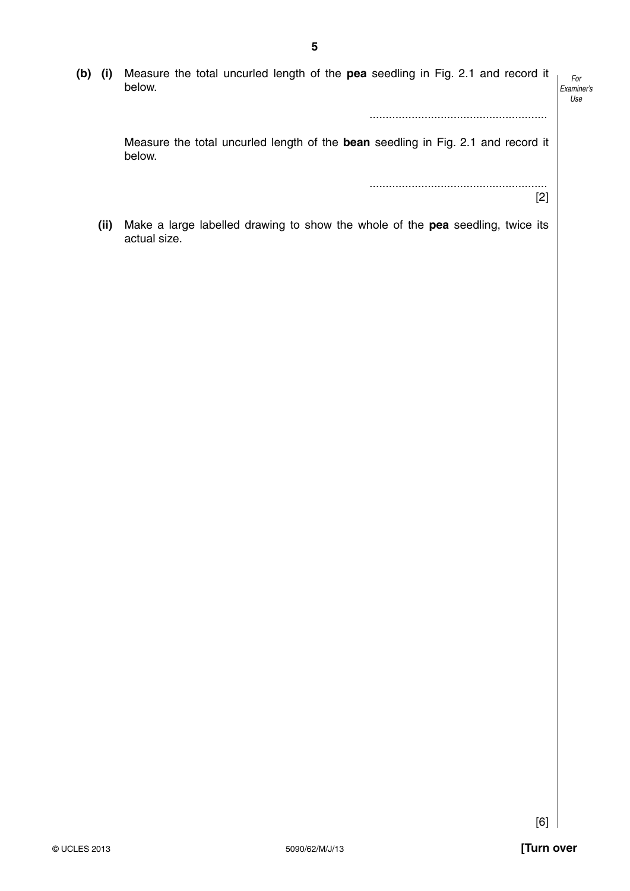|  | (b) (i) Measure the total uncurled length of the pea seedling in Fig. 2.1 and record it |     |
|--|-----------------------------------------------------------------------------------------|-----|
|  | below.                                                                                  | Exa |
|  |                                                                                         |     |

#### *For Examiner's Use*

Measure the total uncurled length of the **bean** seedling in Fig. 2.1 and record it below.

> ....................................................... [2]

.......................................................

 **(ii)** Make a large labelled drawing to show the whole of the **pea** seedling, twice its actual size.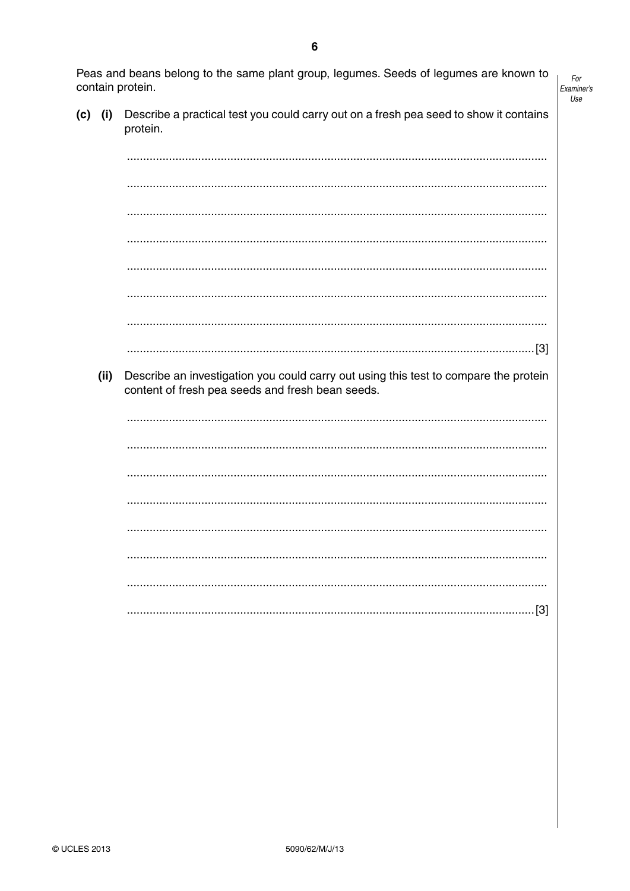Peas and beans belong to the same plant group, legumes. Seeds of legumes are known to contain protein.

 $For$ Examiner's Use

 $(c)$  (i) Describe a practical test you could carry out on a fresh pea seed to show it contains protein.

Describe an investigation you could carry out using this test to compare the protein  $(ii)$ content of fresh pea seeds and fresh bean seeds.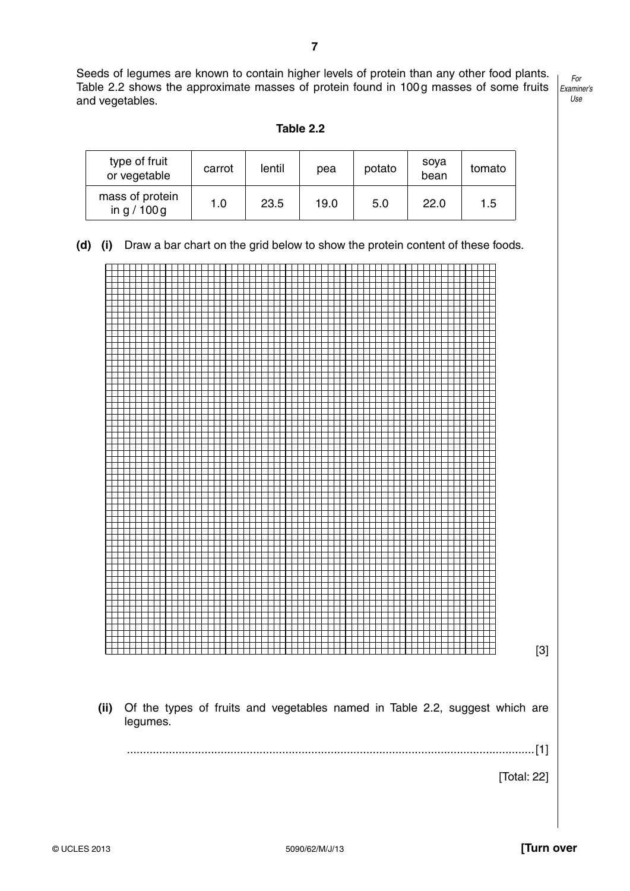Seeds of legumes are known to contain higher levels of protein than any other food plants. Table 2.2 shows the approximate masses of protein found in 100 g masses of some fruits and vegetables.

*For Examiner's Use*

tomato

| type of fruit<br>or vegetable | carrot | lentil | pea | potato | sova<br>bean |
|-------------------------------|--------|--------|-----|--------|--------------|

mass of protein

**Table 2.2**

 **(d) (i)** Draw a bar chart on the grid below to show the protein content of these foods.

 $\frac{233}{3}$  or protein  $\begin{array}{|c|c|c|c|c|c|c|c|} \hline \end{array}$  1.0  $\begin{array}{|c|c|c|c|c|c|} \hline \end{array}$  22.0  $\begin{array}{|c|c|c|c|c|} \hline \end{array}$  1.5



© UCLES 2013 5090/62/M/J/13 **[Turn over**